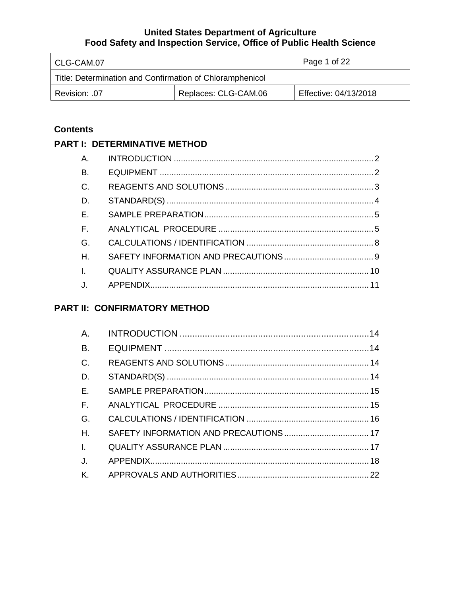| l CLG-CAM.07                                             |  | Page 1 of 22          |
|----------------------------------------------------------|--|-----------------------|
| Title: Determination and Confirmation of Chloramphenicol |  |                       |
| Replaces: CLG-CAM.06<br>Revision: .07                    |  | Effective: 04/13/2018 |

## **Contents**

## **PART I: DETERMINATIVE METHOD**

| A.           |  |
|--------------|--|
| <b>B.</b>    |  |
| $C$ .        |  |
| D.           |  |
| E.           |  |
| $F_{\rm c}$  |  |
| G.           |  |
| H            |  |
| $\mathbf{L}$ |  |
| $J_{\cdot}$  |  |

# **PART II: CONFIRMATORY METHOD**

| A.           |  |
|--------------|--|
| <b>B.</b>    |  |
| $C$ .        |  |
| D.           |  |
| E.           |  |
| $F_{\rm c}$  |  |
| G.           |  |
| H.           |  |
| $\mathbf{L}$ |  |
| J.           |  |
| <b>K</b> .   |  |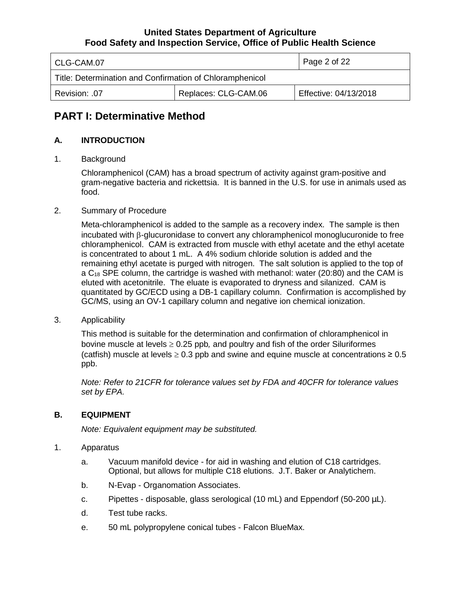| l CLG-CAM.07                                             |  | Page 2 of 22          |
|----------------------------------------------------------|--|-----------------------|
| Title: Determination and Confirmation of Chloramphenicol |  |                       |
| Replaces: CLG-CAM.06<br>Revision: .07                    |  | Effective: 04/13/2018 |

# **PART I: Determinative Method**

### **A. INTRODUCTION**

1. Background

Chloramphenicol (CAM) has a broad spectrum of activity against gram-positive and gram-negative bacteria and rickettsia. It is banned in the U.S. for use in animals used as food.

2. Summary of Procedure

Meta-chloramphenicol is added to the sample as a recovery index. The sample is then incubated with β-glucuronidase to convert any chloramphenicol monoglucuronide to free chloramphenicol. CAM is extracted from muscle with ethyl acetate and the ethyl acetate is concentrated to about 1 mL. A 4% sodium chloride solution is added and the remaining ethyl acetate is purged with nitrogen. The salt solution is applied to the top of a  $C_{18}$  SPE column, the cartridge is washed with methanol: water (20:80) and the CAM is eluted with acetonitrile. The eluate is evaporated to dryness and silanized. CAM is quantitated by GC/ECD using a DB-1 capillary column. Confirmation is accomplished by GC/MS, using an OV-1 capillary column and negative ion chemical ionization.

3. Applicability

This method is suitable for the determination and confirmation of chloramphenicol in bovine muscle at levels ≥ 0.25 ppb*,* and poultry and fish of the order Siluriformes (catfish) muscle at levels  $\geq 0.3$  ppb and swine and equine muscle at concentrations  $\geq 0.5$ ppb.

*Note: Refer to 21CFR for tolerance values set by FDA and 40CFR for tolerance values set by EPA.*

### **B. EQUIPMENT**

*Note: Equivalent equipment may be substituted.*

- 1. Apparatus
	- a. Vacuum manifold device for aid in washing and elution of C18 cartridges. Optional, but allows for multiple C18 elutions. J.T. Baker or Analytichem.
	- b. N-Evap Organomation Associates.
	- c. Pipettes disposable, glass serological (10 mL) and Eppendorf (50-200  $\mu$ L).
	- d. Test tube racks.
	- e. 50 mL polypropylene conical tubes Falcon BlueMax.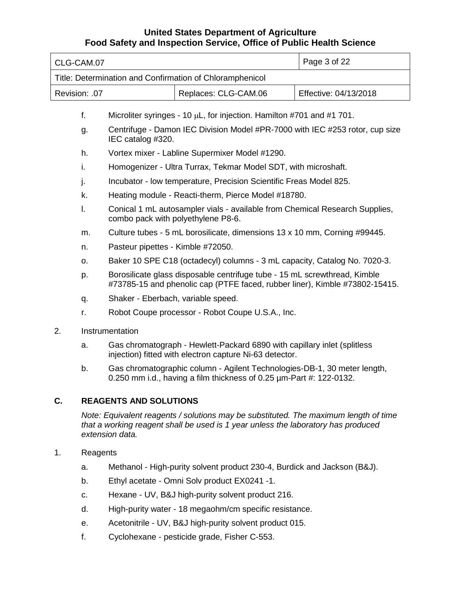| CLG-CAM.07 |               | Page 3 of 22                                                                                                                                             |                                                                                                                                                                           |                       |
|------------|---------------|----------------------------------------------------------------------------------------------------------------------------------------------------------|---------------------------------------------------------------------------------------------------------------------------------------------------------------------------|-----------------------|
|            |               |                                                                                                                                                          | Title: Determination and Confirmation of Chloramphenicol                                                                                                                  |                       |
|            | Revision: .07 |                                                                                                                                                          | Replaces: CLG-CAM.06                                                                                                                                                      | Effective: 04/13/2018 |
|            |               |                                                                                                                                                          |                                                                                                                                                                           |                       |
|            | f.            |                                                                                                                                                          | Microliter syringes - 10 µL, for injection. Hamilton #701 and #1 701.                                                                                                     |                       |
|            | g.            | IEC catalog #320.                                                                                                                                        | Centrifuge - Damon IEC Division Model #PR-7000 with IEC #253 rotor, cup size                                                                                              |                       |
|            | h.            |                                                                                                                                                          | Vortex mixer - Labline Supermixer Model #1290.                                                                                                                            |                       |
|            | i.            |                                                                                                                                                          | Homogenizer - Ultra Turrax, Tekmar Model SDT, with microshaft.                                                                                                            |                       |
|            | j.            |                                                                                                                                                          | Incubator - Iow temperature, Precision Scientific Freas Model 825.                                                                                                        |                       |
|            | k.            |                                                                                                                                                          | Heating module - Reacti-therm, Pierce Model #18780.                                                                                                                       |                       |
|            | I.            |                                                                                                                                                          | Conical 1 mL autosampler vials - available from Chemical Research Supplies,<br>combo pack with polyethylene P8-6.                                                         |                       |
|            | m.            |                                                                                                                                                          | Culture tubes - 5 mL borosilicate, dimensions 13 x 10 mm, Corning #99445.                                                                                                 |                       |
|            | n.            | Pasteur pipettes - Kimble #72050.                                                                                                                        |                                                                                                                                                                           |                       |
|            | 0.            |                                                                                                                                                          | Baker 10 SPE C18 (octadecyl) columns - 3 mL capacity, Catalog No. 7020-3.                                                                                                 |                       |
|            | p.            | Borosilicate glass disposable centrifuge tube - 15 mL screwthread, Kimble<br>#73785-15 and phenolic cap (PTFE faced, rubber liner), Kimble #73802-15415. |                                                                                                                                                                           |                       |
|            | q.            | Shaker - Eberbach, variable speed.                                                                                                                       |                                                                                                                                                                           |                       |
|            | r.            | Robot Coupe processor - Robot Coupe U.S.A., Inc.                                                                                                         |                                                                                                                                                                           |                       |
| 2.         |               | Instrumentation                                                                                                                                          |                                                                                                                                                                           |                       |
|            | a.            |                                                                                                                                                          | Gas chromatograph - Hewlett-Packard 6890 with capillary inlet (splitless<br>injection) fitted with electron capture Ni-63 detector.                                       |                       |
|            | b.            |                                                                                                                                                          | Gas chromatographic column - Agilent Technologies-DB-1, 30 meter length,<br>0.250 mm i.d., having a film thickness of 0.25 $\mu$ m-Part #: 122-0132.                      |                       |
| C.         |               | <b>REAGENTS AND SOLUTIONS</b>                                                                                                                            |                                                                                                                                                                           |                       |
|            |               | extension data.                                                                                                                                          | Note: Equivalent reagents / solutions may be substituted. The maximum length of time<br>that a working reagent shall be used is 1 year unless the laboratory has produced |                       |
| 1.         | Reagents      |                                                                                                                                                          |                                                                                                                                                                           |                       |
|            | a.            |                                                                                                                                                          | Methanol - High-purity solvent product 230-4, Burdick and Jackson (B&J).                                                                                                  |                       |
|            | b.            |                                                                                                                                                          | Ethyl acetate - Omni Solv product EX0241 -1.                                                                                                                              |                       |
|            | c.            |                                                                                                                                                          | Hexane - UV, B&J high-purity solvent product 216.                                                                                                                         |                       |

- d. High-purity water 18 megaohm/cm specific resistance.
- e. Acetonitrile UV, B&J high-purity solvent product 015.
- f. Cyclohexane pesticide grade, Fisher C-553.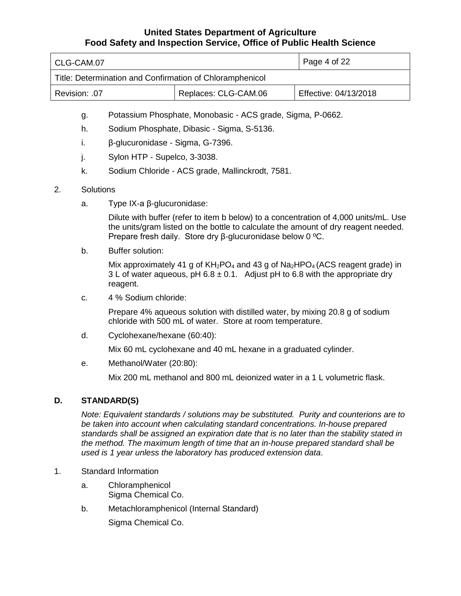| l CLG-CAM.07                                             |  | Page 4 of 22          |
|----------------------------------------------------------|--|-----------------------|
| Title: Determination and Confirmation of Chloramphenicol |  |                       |
| Replaces: CLG-CAM.06<br>Revision: .07                    |  | Effective: 04/13/2018 |

- g. Potassium Phosphate, Monobasic ACS grade, Sigma, P-0662.
- h. Sodium Phosphate, Dibasic Sigma, S-5136.
- i. β-glucuronidase Sigma, G-7396.
- j. Sylon HTP Supelco, 3-3038.
- k. Sodium Chloride ACS grade, Mallinckrodt, 7581.

#### 2. Solutions

a. Type IX-a β-glucuronidase:

Dilute with buffer (refer to item b below) to a concentration of 4,000 units/mL. Use the units/gram listed on the bottle to calculate the amount of dry reagent needed. Prepare fresh daily. Store dry β-glucuronidase below 0 ºC.

b. Buffer solution:

Mix approximately 41 g of  $KH_2PO_4$  and 43 g of  $Na_2HPO_4$  (ACS reagent grade) in 3 L of water aqueous, pH  $6.8 \pm 0.1$ . Adjust pH to 6.8 with the appropriate dry reagent.

c. 4 % Sodium chloride:

Prepare 4% aqueous solution with distilled water, by mixing 20.8 g of sodium chloride with 500 mL of water. Store at room temperature.

d. Cyclohexane/hexane (60:40):

Mix 60 mL cyclohexane and 40 mL hexane in a graduated cylinder.

e. Methanol/Water (20:80):

Mix 200 mL methanol and 800 mL deionized water in a 1 L volumetric flask.

### **D. STANDARD(S)**

*Note: Equivalent standards / solutions may be substituted. Purity and counterions are to be taken into account when calculating standard concentrations. In-house prepared standards shall be assigned an expiration date that is no later than the stability stated in the method. The maximum length of time that an in-house prepared standard shall be used is 1 year unless the laboratory has produced extension data*.

- 1. Standard Information
	- a. Chloramphenicol Sigma Chemical Co.
	- b. Metachloramphenicol (Internal Standard) Sigma Chemical Co.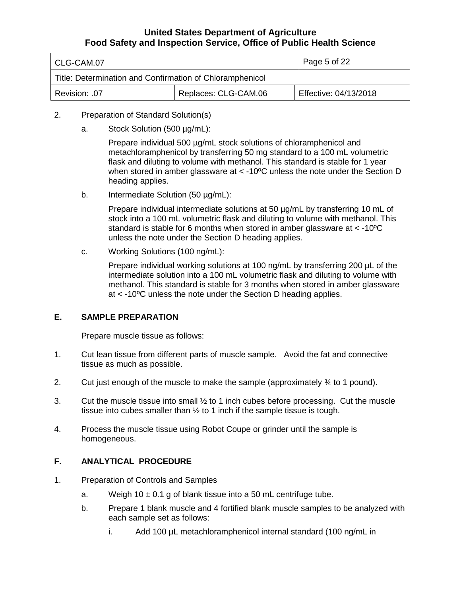| l CLG-CAM.07                                             |  | Page 5 of 22          |
|----------------------------------------------------------|--|-----------------------|
| Title: Determination and Confirmation of Chloramphenicol |  |                       |
| Replaces: CLG-CAM.06<br>Revision: .07                    |  | Effective: 04/13/2018 |

- 2. Preparation of Standard Solution(s)
	- a. Stock Solution (500 µg/mL):

Prepare individual 500 µg/mL stock solutions of chloramphenicol and metachloramphenicol by transferring 50 mg standard to a 100 mL volumetric flask and diluting to volume with methanol. This standard is stable for 1 year when stored in amber glassware at < -10°C unless the note under the Section D heading applies.

b. Intermediate Solution (50 µg/mL):

Prepare individual intermediate solutions at 50  $\mu$ g/mL by transferring 10 mL of stock into a 100 mL volumetric flask and diluting to volume with methanol. This standard is stable for 6 months when stored in amber glassware at < -10ºC unless the note under the Section D heading applies.

c. Working Solutions (100 ng/mL):

Prepare individual working solutions at 100 ng/mL by transferring 200 µL of the intermediate solution into a 100 mL volumetric flask and diluting to volume with methanol. This standard is stable for 3 months when stored in amber glassware at < -10ºC unless the note under the Section D heading applies.

### **E. SAMPLE PREPARATION**

Prepare muscle tissue as follows:

- 1. Cut lean tissue from different parts of muscle sample. Avoid the fat and connective tissue as much as possible.
- 2. Cut just enough of the muscle to make the sample (approximately  $\frac{3}{4}$  to 1 pound).
- 3. Cut the muscle tissue into small ½ to 1 inch cubes before processing. Cut the muscle tissue into cubes smaller than ½ to 1 inch if the sample tissue is tough.
- 4. Process the muscle tissue using Robot Coupe or grinder until the sample is homogeneous.

## **F. ANALYTICAL PROCEDURE**

- 1. Preparation of Controls and Samples
	- a. Weigh  $10 \pm 0.1$  g of blank tissue into a 50 mL centrifuge tube.
	- b. Prepare 1 blank muscle and 4 fortified blank muscle samples to be analyzed with each sample set as follows:
		- i. Add 100 µL metachloramphenicol internal standard (100 ng/mL in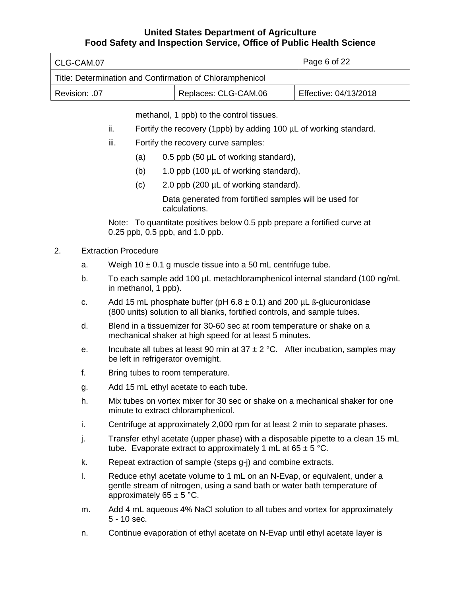| l CLG-CAM.07                                             |  | Page 6 of 22          |
|----------------------------------------------------------|--|-----------------------|
| Title: Determination and Confirmation of Chloramphenicol |  |                       |
| Replaces: CLG-CAM.06<br>Revision: .07                    |  | Effective: 04/13/2018 |

methanol, 1 ppb) to the control tissues.

- ii. Fortify the recovery (1ppb) by adding 100 µL of working standard.
- iii. Fortify the recovery curve samples:
	- (a)  $0.5$  ppb (50  $\mu$ L of working standard),
	- (b) 1.0 ppb (100 µL of working standard),
	- (c) 2.0 ppb (200 µL of working standard).

Data generated from fortified samples will be used for calculations.

Note: To quantitate positives below 0.5 ppb prepare a fortified curve at 0.25 ppb, 0.5 ppb, and 1.0 ppb.

### 2. Extraction Procedure

- a. Weigh  $10 \pm 0.1$  g muscle tissue into a 50 mL centrifuge tube.
- b. To each sample add 100 µL metachloramphenicol internal standard (100 ng/mL in methanol, 1 ppb).
- c. Add 15 mL phosphate buffer (pH  $6.8 \pm 0.1$ ) and 200 µL ß-glucuronidase (800 units) solution to all blanks, fortified controls, and sample tubes.
- d. Blend in a tissuemizer for 30-60 sec at room temperature or shake on a mechanical shaker at high speed for at least 5 minutes.
- e. Incubate all tubes at least 90 min at  $37 \pm 2$  °C. After incubation, samples may be left in refrigerator overnight.
- f. Bring tubes to room temperature.
- g. Add 15 mL ethyl acetate to each tube.
- h. Mix tubes on vortex mixer for 30 sec or shake on a mechanical shaker for one minute to extract chloramphenicol.
- i. Centrifuge at approximately 2,000 rpm for at least 2 min to separate phases.
- j. Transfer ethyl acetate (upper phase) with a disposable pipette to a clean 15 mL tube. Evaporate extract to approximately 1 mL at  $65 \pm 5$  °C.
- k. Repeat extraction of sample (steps g-j) and combine extracts.
- l. Reduce ethyl acetate volume to 1 mL on an N-Evap, or equivalent, under a gentle stream of nitrogen, using a sand bath or water bath temperature of approximately  $65 \pm 5$  °C.
- m. Add 4 mL aqueous 4% NaCl solution to all tubes and vortex for approximately 5 - 10 sec.
- n. Continue evaporation of ethyl acetate on N-Evap until ethyl acetate layer is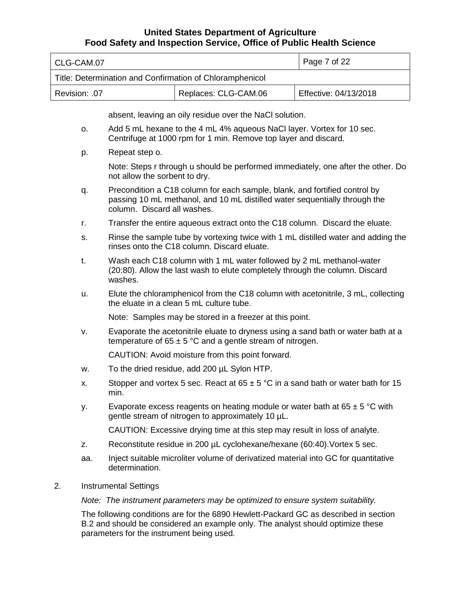| l CLG-CAM.07                                             |                                               | Page 7 of 22 |
|----------------------------------------------------------|-----------------------------------------------|--------------|
| Title: Determination and Confirmation of Chloramphenicol |                                               |              |
| Revision: .07                                            | Replaces: CLG-CAM.06<br>Effective: 04/13/2018 |              |

absent, leaving an oily residue over the NaCl solution.

- o. Add 5 mL hexane to the 4 mL 4% aqueous NaCl layer. Vortex for 10 sec. Centrifuge at 1000 rpm for 1 min. Remove top layer and discard.
- p. Repeat step o.

Note: Steps r through u should be performed immediately, one after the other. Do not allow the sorbent to dry.

- q. Precondition a C18 column for each sample, blank, and fortified control by passing 10 mL methanol, and 10 mL distilled water sequentially through the column. Discard all washes.
- r. Transfer the entire aqueous extract onto the C18 column. Discard the eluate.
- s. Rinse the sample tube by vortexing twice with 1 mL distilled water and adding the rinses onto the C18 column. Discard eluate.
- t. Wash each C18 column with 1 mL water followed by 2 mL methanol-water (20:80). Allow the last wash to elute completely through the column. Discard washes.
- u. Elute the chloramphenicol from the C18 column with acetonitrile, 3 mL, collecting the eluate in a clean 5 mL culture tube.

Note: Samples may be stored in a freezer at this point.

v. Evaporate the acetonitrile eluate to dryness using a sand bath or water bath at a temperature of  $65 \pm 5$  °C and a gentle stream of nitrogen.

CAUTION: Avoid moisture from this point forward.

- w. To the dried residue, add 200 µL Sylon HTP.
- x. Stopper and vortex 5 sec. React at  $65 \pm 5$  °C in a sand bath or water bath for 15 min.
- y. Evaporate excess reagents on heating module or water bath at  $65 \pm 5$  °C with gentle stream of nitrogen to approximately 10 µL.

CAUTION: Excessive drying time at this step may result in loss of analyte.

- z. Reconstitute residue in 200 µL cyclohexane/hexane (60:40).Vortex 5 sec.
- aa. Inject suitable microliter volume of derivatized material into GC for quantitative determination.
- 2. Instrumental Settings

*Note: The instrument parameters may be optimized to ensure system suitability.*

The following conditions are for the 6890 Hewlett-Packard GC as described in section B.2 and should be considered an example only. The analyst should optimize these parameters for the instrument being used.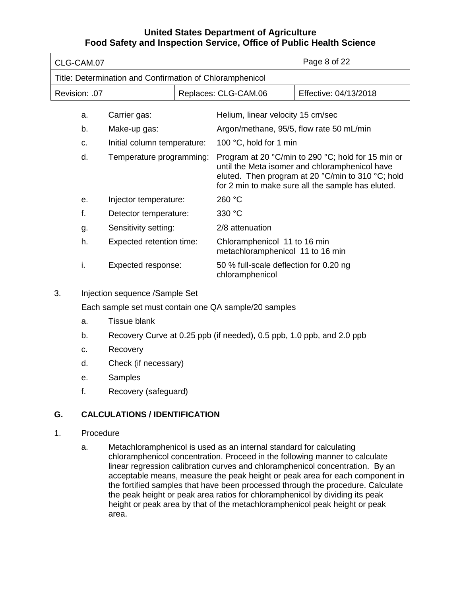| CLG-CAM.07    |                                                          |  |                                                                                                                                                                                                                | Page 8 of 22          |
|---------------|----------------------------------------------------------|--|----------------------------------------------------------------------------------------------------------------------------------------------------------------------------------------------------------------|-----------------------|
|               | Title: Determination and Confirmation of Chloramphenicol |  |                                                                                                                                                                                                                |                       |
| Revision: .07 |                                                          |  | Replaces: CLG-CAM.06                                                                                                                                                                                           | Effective: 04/13/2018 |
| a.            | Carrier gas:                                             |  | Helium, linear velocity 15 cm/sec                                                                                                                                                                              |                       |
| b.            | Make-up gas:                                             |  | Argon/methane, 95/5, flow rate 50 mL/min                                                                                                                                                                       |                       |
| C.            | Initial column temperature:                              |  | 100 °C, hold for 1 min                                                                                                                                                                                         |                       |
| d.            | Temperature programming:                                 |  | Program at 20 °C/min to 290 °C; hold for 15 min or<br>until the Meta isomer and chloramphenicol have<br>eluted. Then program at 20 °C/min to 310 °C; hold<br>for 2 min to make sure all the sample has eluted. |                       |
| $\theta$ .    | Injector temperature:                                    |  | 260 °C                                                                                                                                                                                                         |                       |
| f.            | Detector temperature:                                    |  | 330 °C                                                                                                                                                                                                         |                       |
| g.            | Sensitivity setting:                                     |  | 2/8 attenuation                                                                                                                                                                                                |                       |
| h.            | Expected retention time:                                 |  | Chloramphenicol 11 to 16 min<br>metachloramphenicol 11 to 16 min                                                                                                                                               |                       |
| I.            | Expected response:                                       |  | 50 % full-scale deflection for 0.20 ng<br>chloramphenicol                                                                                                                                                      |                       |

3. Injection sequence /Sample Set

Each sample set must contain one QA sample/20 samples

- a. Tissue blank
- b. Recovery Curve at 0.25 ppb (if needed), 0.5 ppb, 1.0 ppb, and 2.0 ppb
- c. Recovery
- d. Check (if necessary)
- e. Samples
- f. Recovery (safeguard)

## **G. CALCULATIONS / IDENTIFICATION**

### 1. Procedure

a. Metachloramphenicol is used as an internal standard for calculating chloramphenicol concentration. Proceed in the following manner to calculate linear regression calibration curves and chloramphenicol concentration. By an acceptable means, measure the peak height or peak area for each component in the fortified samples that have been processed through the procedure. Calculate the peak height or peak area ratios for chloramphenicol by dividing its peak height or peak area by that of the metachloramphenicol peak height or peak area.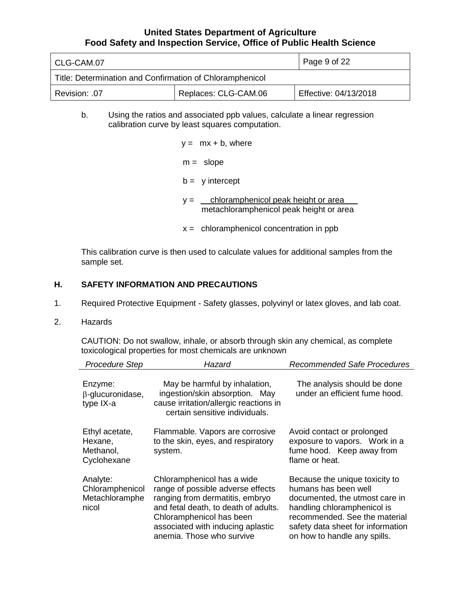| l CLG-CAM.07                                             |  | $\vert$ Page 9 of 22  |
|----------------------------------------------------------|--|-----------------------|
| Title: Determination and Confirmation of Chloramphenicol |  |                       |
| Replaces: CLG-CAM.06<br>  Revision: .07                  |  | Effective: 04/13/2018 |

#### b. Using the ratios and associated ppb values, calculate a linear regression calibration curve by least squares computation.

| $y = mx + b$ , where                                                                    |
|-----------------------------------------------------------------------------------------|
| $m =$ slope                                                                             |
| $b = y$ intercept                                                                       |
| chloramphenicol peak height or area<br>$V =$<br>metachloramphenicol peak height or area |
| $x =$ chloramphenicol concentration in ppb                                              |

This calibration curve is then used to calculate values for additional samples from the sample set.

### **H. SAFETY INFORMATION AND PRECAUTIONS**

- 1. Required Protective Equipment Safety glasses, polyvinyl or latex gloves, and lab coat.
- 2. Hazards

CAUTION: Do not swallow, inhale, or absorb through skin any chemical, as complete toxicological properties for most chemicals are unknown

| <b>Procedure Step</b>                                  | Hazard                                                                                                                                                                                                                                   | Recommended Safe Procedures                                                                                                                                                                                                   |
|--------------------------------------------------------|------------------------------------------------------------------------------------------------------------------------------------------------------------------------------------------------------------------------------------------|-------------------------------------------------------------------------------------------------------------------------------------------------------------------------------------------------------------------------------|
| Enzyme:<br>$\beta$ -glucuronidase,<br>type IX-a        | May be harmful by inhalation,<br>ingestion/skin absorption. May<br>cause irritation/allergic reactions in<br>certain sensitive individuals.                                                                                              | The analysis should be done<br>under an efficient fume hood.                                                                                                                                                                  |
| Ethyl acetate,<br>Hexane,<br>Methanol,<br>Cyclohexane  | Flammable. Vapors are corrosive<br>to the skin, eyes, and respiratory<br>system.                                                                                                                                                         | Avoid contact or prolonged<br>exposure to vapors. Work in a<br>fume hood. Keep away from<br>flame or heat.                                                                                                                    |
| Analyte:<br>Chloramphenicol<br>Metachloramphe<br>nicol | Chloramphenicol has a wide<br>range of possible adverse effects<br>ranging from dermatitis, embryo<br>and fetal death, to death of adults.<br>Chloramphenicol has been<br>associated with inducing aplastic<br>anemia. Those who survive | Because the unique toxicity to<br>humans has been well<br>documented, the utmost care in<br>handling chloramphenicol is<br>recommended. See the material<br>safety data sheet for information<br>on how to handle any spills. |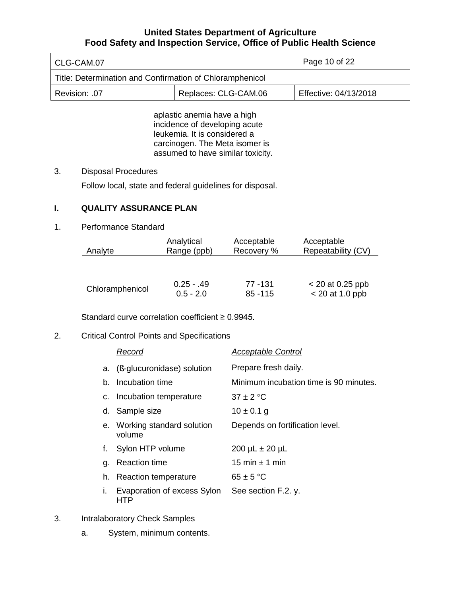| CLG-CAM.07                                               | Page 10 of 22        |                       |
|----------------------------------------------------------|----------------------|-----------------------|
| Title: Determination and Confirmation of Chloramphenicol |                      |                       |
| Revision: .07                                            | Replaces: CLG-CAM.06 | Effective: 04/13/2018 |

aplastic anemia have a high incidence of developing acute leukemia. It is considered a carcinogen. The Meta isomer is assumed to have similar toxicity.

### 3. Disposal Procedures

Follow local, state and federal guidelines for disposal.

## **I. QUALITY ASSURANCE PLAN**

### 1. Performance Standard

| Analyte         | Analytical   | Acceptable | Acceptable         |
|-----------------|--------------|------------|--------------------|
|                 | Range (ppb)  | Recovery % | Repeatability (CV) |
|                 |              |            |                    |
| Chloramphenicol | $0.25 - .49$ | 77 - 131   | $<$ 20 at 0.25 ppb |
|                 | $0.5 - 2.0$  | $85 - 115$ | $<$ 20 at 1.0 ppb  |

Standard curve correlation coefficient ≥ 0.9945.

## 2. Critical Control Points and Specifications

|    | Record                                 | <b>Acceptable Control</b>              |
|----|----------------------------------------|----------------------------------------|
| a. | (B-glucuronidase) solution             | Prepare fresh daily.                   |
| b. | Incubation time                        | Minimum incubation time is 90 minutes. |
|    | c. Incubation temperature              | $37 + 2 °C$                            |
| d. | Sample size                            | $10 \pm 0.1$ g                         |
|    | e. Working standard solution<br>volume | Depends on fortification level.        |
| f. | Sylon HTP volume                       | $200 \mu L \pm 20 \mu L$               |
| q. | <b>Reaction time</b>                   | 15 min $\pm$ 1 min                     |
| h. | <b>Reaction temperature</b>            | $65 \pm 5$ °C                          |
| Τ. | Evaporation of excess Sylon<br>HTP     | See section F.2. y.                    |

- 3. Intralaboratory Check Samples
	- a. System, minimum contents.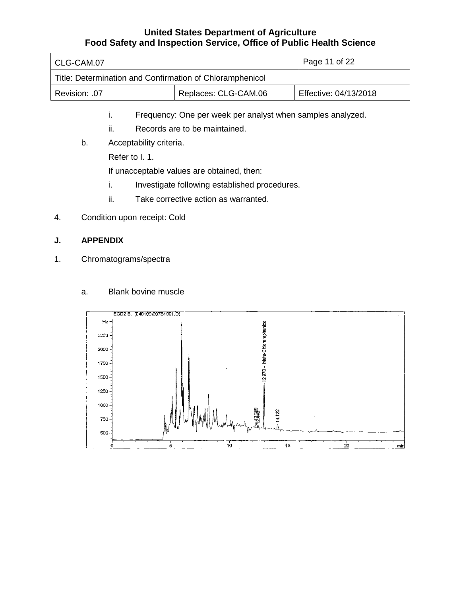| CLG-CAM.07                                               | Page 11 of 22        |                       |
|----------------------------------------------------------|----------------------|-----------------------|
| Title: Determination and Confirmation of Chloramphenicol |                      |                       |
| Revision: .07                                            | Replaces: CLG-CAM.06 | Effective: 04/13/2018 |

- i. Frequency: One per week per analyst when samples analyzed.
- ii. Records are to be maintained.
- b. Acceptability criteria.

Refer to I. 1.

If unacceptable values are obtained, then:

- i. Investigate following established procedures.
- ii. Take corrective action as warranted.
- 4. Condition upon receipt: Cold

### **J. APPENDIX**

1. Chromatograms/spectra



### a. Blank bovine muscle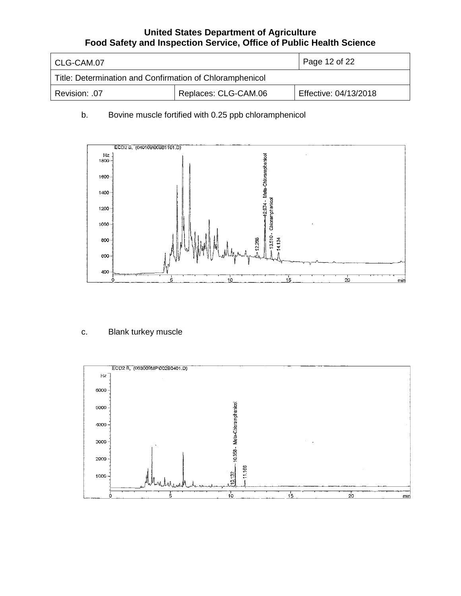| CLG-CAM.07                                               | Page 12 of 22        |                       |
|----------------------------------------------------------|----------------------|-----------------------|
| Title: Determination and Confirmation of Chloramphenicol |                      |                       |
| .07. :Revision                                           | Replaces: CLG-CAM.06 | Effective: 04/13/2018 |

## b. Bovine muscle fortified with 0.25 ppb chloramphenicol



## c. Blank turkey muscle

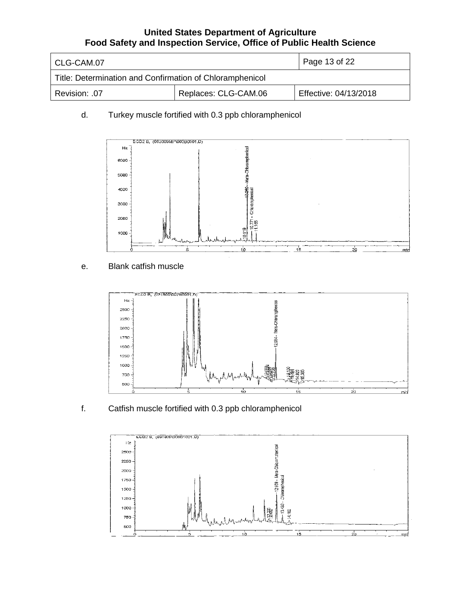| l CLG-CAM.07                                             | $\vert$ Page 13 of 22 |                       |
|----------------------------------------------------------|-----------------------|-----------------------|
| Title: Determination and Confirmation of Chloramphenicol |                       |                       |
| Revision: .07                                            | Replaces: CLG-CAM.06  | Effective: 04/13/2018 |

## d. Turkey muscle fortified with 0.3 ppb chloramphenicol



## e. Blank catfish muscle



f. Catfish muscle fortified with 0.3 ppb chloramphenicol

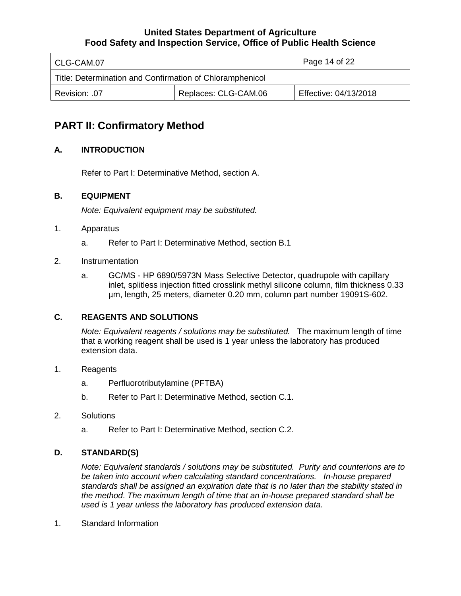| l CLG-CAM.07                                             | Page 14 of 22        |                       |
|----------------------------------------------------------|----------------------|-----------------------|
| Title: Determination and Confirmation of Chloramphenicol |                      |                       |
| Revision: .07                                            | Replaces: CLG-CAM.06 | Effective: 04/13/2018 |

# **PART II: Confirmatory Method**

## **A. INTRODUCTION**

Refer to Part I: Determinative Method, section A.

## **B. EQUIPMENT**

*Note: Equivalent equipment may be substituted.*

### 1. Apparatus

- a. Refer to Part I: Determinative Method, section B.1
- 2. Instrumentation
	- a. GC/MS HP 6890/5973N Mass Selective Detector, quadrupole with capillary inlet, splitless injection fitted crosslink methyl silicone column, film thickness 0.33 µm, length, 25 meters, diameter 0.20 mm, column part number 19091S-602.

### **C. REAGENTS AND SOLUTIONS**

*Note: Equivalent reagents / solutions may be substituted.* The maximum length of time that a working reagent shall be used is 1 year unless the laboratory has produced extension data.

### 1. Reagents

- a. Perfluorotributylamine (PFTBA)
- b. Refer to Part I: Determinative Method, section C.1.

### 2. Solutions

a. Refer to Part I: Determinative Method, section C.2.

### **D. STANDARD(S)**

*Note: Equivalent standards / solutions may be substituted. Purity and counterions are to be taken into account when calculating standard concentrations. In-house prepared standards shall be assigned an expiration date that is no later than the stability stated in the method*. *The maximum length of time that an in-house prepared standard shall be used is 1 year unless the laboratory has produced extension data.*

1. Standard Information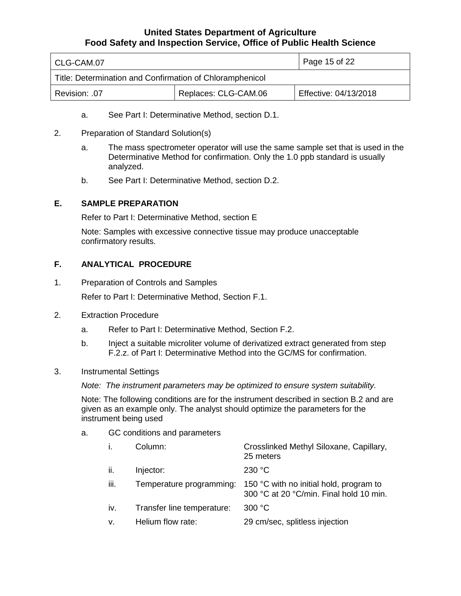| CLG-CAM.07                                               | Page 15 of 22        |                       |
|----------------------------------------------------------|----------------------|-----------------------|
| Title: Determination and Confirmation of Chloramphenicol |                      |                       |
| Revision: .07                                            | Replaces: CLG-CAM.06 | Effective: 04/13/2018 |

- a. See Part I: Determinative Method, section D.1.
- 2. Preparation of Standard Solution(s)
	- a. The mass spectrometer operator will use the same sample set that is used in the Determinative Method for confirmation. Only the 1.0 ppb standard is usually analyzed.
	- b. See Part I: Determinative Method, section D.2.

### **E. SAMPLE PREPARATION**

Refer to Part I: Determinative Method, section E

Note: Samples with excessive connective tissue may produce unacceptable confirmatory results.

### **F. ANALYTICAL PROCEDURE**

1. Preparation of Controls and Samples

Refer to Part I: Determinative Method, Section F.1.

- 2. Extraction Procedure
	- a. Refer to Part I: Determinative Method, Section F.2.
	- b. Inject a suitable microliter volume of derivatized extract generated from step F.2.z. of Part I: Determinative Method into the GC/MS for confirmation.
- 3. Instrumental Settings

*Note: The instrument parameters may be optimized to ensure system suitability.*

Note: The following conditions are for the instrument described in section B.2 and are given as an example only. The analyst should optimize the parameters for the instrument being used

a. GC conditions and parameters

| i.   | Column:                    | Crosslinked Methyl Siloxane, Capillary,<br>25 meters                               |
|------|----------------------------|------------------------------------------------------------------------------------|
| ii.  | Injector:                  | 230 °C                                                                             |
| iii. | Temperature programming:   | 150 °C with no initial hold, program to<br>300 °C at 20 °C/min. Final hold 10 min. |
| iv.  | Transfer line temperature: | 300 °C                                                                             |
| v.   | Helium flow rate:          | 29 cm/sec, splitless injection                                                     |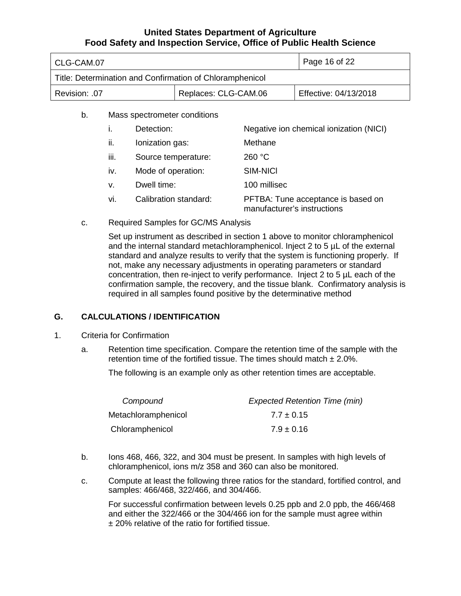| CLG-CAM.07                                               |                      | Page 16 of 22         |
|----------------------------------------------------------|----------------------|-----------------------|
| Title: Determination and Confirmation of Chloramphenicol |                      |                       |
| Revision: .07                                            | Replaces: CLG-CAM.06 | Effective: 04/13/2018 |
| Mass spectrometer conditions<br>b.                       |                      |                       |

- i. Detection: Negative ion chemical ionization (NICI) ii. Ionization gas: Methane iii. Source temperature: 260 °C iv. Mode of operation: SIM-NICl v. Dwell time: 100 millisec vi. Calibration standard: PFTBA: Tune acceptance is based on manufacturer's instructions
- c. Required Samples for GC/MS Analysis

Set up instrument as described in section 1 above to monitor chloramphenicol and the internal standard metachloramphenicol. Inject 2 to 5 µL of the external standard and analyze results to verify that the system is functioning properly. If not, make any necessary adjustments in operating parameters or standard concentration, then re-inject to verify performance. Inject 2 to 5 µL each of the confirmation sample, the recovery, and the tissue blank. Confirmatory analysis is required in all samples found positive by the determinative method

### **G. CALCULATIONS / IDENTIFICATION**

- 1. Criteria for Confirmation
	- a. Retention time specification. Compare the retention time of the sample with the retention time of the fortified tissue. The times should match  $\pm$  2.0%.

The following is an example only as other retention times are acceptable.

| Compound            | <b>Expected Retention Time (min)</b> |
|---------------------|--------------------------------------|
| Metachloramphenicol | $7.7 \pm 0.15$                       |
| Chloramphenicol     | $7.9 \pm 0.16$                       |

- b. Ions 468, 466, 322, and 304 must be present. In samples with high levels of chloramphenicol, ions m/z 358 and 360 can also be monitored.
- c. Compute at least the following three ratios for the standard, fortified control, and samples: 466/468, 322/466, and 304/466.

For successful confirmation between levels 0.25 ppb and 2.0 ppb, the 466/468 and either the 322/466 or the 304/466 ion for the sample must agree within ± 20% relative of the ratio for fortified tissue.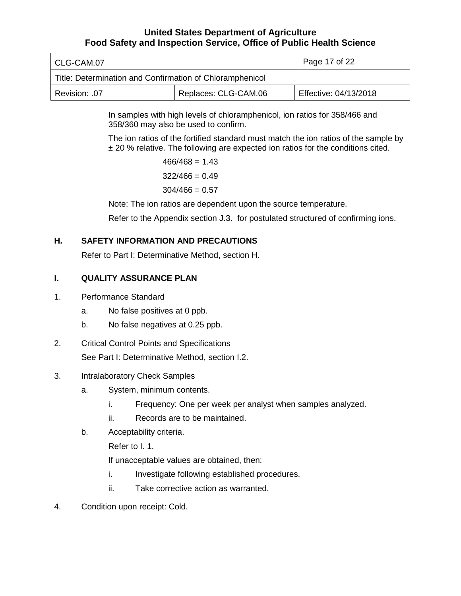| l CLG-CAM.07                                             | Page 17 of 22        |                       |  |
|----------------------------------------------------------|----------------------|-----------------------|--|
| Title: Determination and Confirmation of Chloramphenicol |                      |                       |  |
| Revision: .07                                            | Replaces: CLG-CAM.06 | Effective: 04/13/2018 |  |

In samples with high levels of chloramphenicol, ion ratios for 358/466 and 358/360 may also be used to confirm.

The ion ratios of the fortified standard must match the ion ratios of the sample by ± 20 % relative. The following are expected ion ratios for the conditions cited.

> $466/468 = 1.43$  $322/466 = 0.49$  $304/466 = 0.57$

Note: The ion ratios are dependent upon the source temperature.

Refer to the Appendix section J.3. for postulated structured of confirming ions.

## **H. SAFETY INFORMATION AND PRECAUTIONS**

Refer to Part I: Determinative Method, section H.

## **I. QUALITY ASSURANCE PLAN**

### 1. Performance Standard

- a. No false positives at 0 ppb.
- b. No false negatives at 0.25 ppb.
- 2. Critical Control Points and Specifications See Part I: Determinative Method, section I.2.
- 3. Intralaboratory Check Samples
	- a. System, minimum contents.
		- i. Frequency: One per week per analyst when samples analyzed.
		- ii. Records are to be maintained.
	- b. Acceptability criteria.

Refer to I. 1.

If unacceptable values are obtained, then:

- i. Investigate following established procedures.
- ii. Take corrective action as warranted.
- 4. Condition upon receipt: Cold.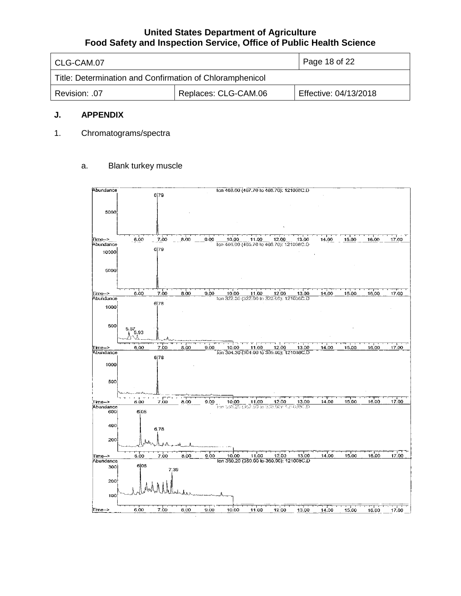| l CLG-CAM.07                                             | $\overline{1}$ Page 18 of 22 |  |  |  |
|----------------------------------------------------------|------------------------------|--|--|--|
| Title: Determination and Confirmation of Chloramphenicol |                              |  |  |  |
| Revision: .07                                            | Effective: 04/13/2018        |  |  |  |

### **J. APPENDIX**

1. Chromatograms/spectra

### a. Blank turkey muscle

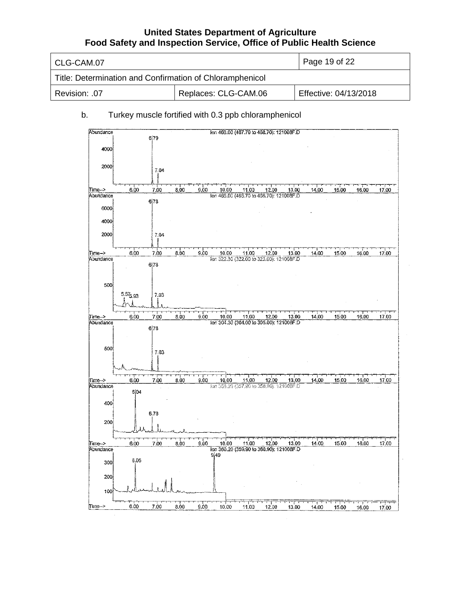| l CLG-CAM.07                                             | Page 19 of 22        |                       |
|----------------------------------------------------------|----------------------|-----------------------|
| Title: Determination and Confirmation of Chloramphenicol |                      |                       |
| Revision: .07                                            | Replaces: CLG-CAM.06 | Effective: 04/13/2018 |

## b. Turkey muscle fortified with 0.3 ppb chloramphenicol

| Abundance           |               |             |      |      |       | Ion 468.00 (467.70 to 468.70): 121008F.D          |       |       |       |       |       |       |
|---------------------|---------------|-------------|------|------|-------|---------------------------------------------------|-------|-------|-------|-------|-------|-------|
|                     |               | 6 79        |      |      |       |                                                   |       |       |       |       |       |       |
|                     |               |             |      |      |       |                                                   |       |       |       |       |       |       |
| 4000                |               |             |      |      |       |                                                   |       |       |       |       |       |       |
|                     |               |             |      |      |       |                                                   |       |       |       |       |       |       |
| 2000                |               | 7.04        |      |      |       |                                                   |       |       |       |       |       |       |
|                     |               |             |      |      |       |                                                   |       |       |       |       |       |       |
|                     |               |             |      |      |       |                                                   |       |       |       |       |       |       |
| ∏ime⊷>              | 6.00          | 7.00        | 8.00 | 9.00 | 10.00 | 11.00                                             | 12.00 | 13.00 | 14.00 | 15.00 | 16.00 | 17.00 |
| Abundance           |               |             |      |      |       | lon 466.00 (465.70 to 466.70): 121008F.D          |       |       |       |       |       |       |
|                     |               | 6 78        |      |      |       |                                                   |       |       |       |       |       |       |
| 6000                |               |             |      |      |       |                                                   |       |       |       |       |       |       |
| 4000                |               |             |      |      |       |                                                   |       |       |       |       |       |       |
|                     |               |             |      |      |       |                                                   |       |       |       |       |       |       |
| 2000                |               | 7.04        |      |      |       |                                                   |       |       |       |       |       |       |
|                     |               |             |      |      |       |                                                   |       |       |       |       |       |       |
|                     |               |             |      |      |       |                                                   |       |       |       |       |       |       |
| Time-><br>Abundance | 6.00          | 7.00        | 8.00 | 9.00 | 10.00 | 11.00<br>Ton 322.30 (322.00 to 323.00): 121008F.D | 12.00 | 13.00 | 14.00 | 15.00 | 16.00 | 17.00 |
|                     |               | 6 78        |      |      |       |                                                   |       |       |       |       |       |       |
|                     |               |             |      |      |       |                                                   |       |       |       |       |       |       |
|                     |               |             |      |      |       |                                                   |       |       |       |       |       |       |
| 500                 |               |             |      |      |       |                                                   |       |       |       |       |       |       |
|                     | $5.57_{5.93}$ | 7.03        |      |      |       |                                                   |       |       |       |       |       |       |
|                     |               |             |      |      |       |                                                   |       |       |       |       |       |       |
|                     |               |             |      |      |       |                                                   |       |       |       |       |       |       |
| Time->              | 6.00          | <u>7.00</u> | 8.00 | 9.00 | 10.00 | 11.00                                             | 12.00 | 13.00 | 14.00 | 15.00 | 16,00 | 17.00 |
| Abundance           |               |             |      |      |       | lon 304.30 (304.00 to 305.00): 121008F.D          |       |       |       |       |       |       |
|                     |               | 6 78        |      |      |       |                                                   |       |       |       |       |       |       |
|                     |               |             |      |      |       |                                                   |       |       |       |       |       |       |
|                     |               |             |      |      |       |                                                   |       |       |       |       |       |       |
| 500                 |               | 7.03        |      |      |       |                                                   |       |       |       |       |       |       |
|                     |               |             |      |      |       |                                                   |       |       |       |       |       |       |
|                     |               |             |      |      |       |                                                   |       |       |       |       |       |       |
|                     |               |             |      |      |       |                                                   |       |       |       |       |       |       |
| Time⊷>              | 6.00          | 7.00        | 8.00 | 9.00 | 10.00 | 11.00                                             | 12.00 | 13.00 | 14.00 | 15.00 | 16,00 | 17.00 |
| Abundance           | 6 04          |             |      |      |       | Ion 358.20 (357.90 to 358.90): 121008F.D          |       |       |       |       |       |       |
|                     |               |             |      |      |       |                                                   |       |       |       |       |       |       |
| 400                 |               |             |      |      |       |                                                   |       |       |       |       |       |       |
|                     |               | 6.78        |      |      |       |                                                   |       |       |       |       |       |       |
| 200                 |               |             |      |      |       |                                                   |       |       |       |       |       |       |
|                     |               |             |      |      |       |                                                   |       |       |       |       |       |       |
|                     |               |             |      |      |       |                                                   |       |       |       |       |       |       |
| Time ->             | 6.00          | 7.00        | 8.00 | 9.00 | 10.00 | 11.00                                             | 12.00 | 13.00 | 14.00 | 15.00 | 16.00 | 17.00 |
| Abundance           |               |             |      |      |       | Ion 360.20 (359.90 to 360.90): 121008F.D          |       |       |       |       |       |       |
|                     |               |             |      |      | 949   |                                                   |       |       |       |       |       |       |
| 300                 | 6.05          |             |      |      |       |                                                   |       |       |       |       |       |       |
|                     |               |             |      |      |       |                                                   |       |       |       |       |       |       |
| 200                 |               |             |      |      |       |                                                   |       |       |       |       |       |       |
|                     |               |             |      |      |       |                                                   |       |       |       |       |       |       |
|                     |               |             |      |      |       |                                                   |       |       |       |       |       |       |
| 100                 |               |             |      |      |       |                                                   |       |       |       |       |       |       |
| ∏ime⊸>              | 600           | 7.00        | 8.00 | 9.00 | 10.00 |                                                   | ┯     | ᠮ᠊᠊ᢧ᠇ |       |       | r 1   |       |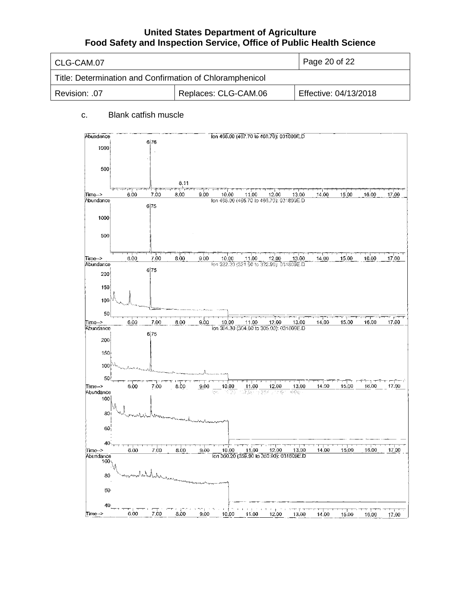| l CLG-CAM.07                                             | Page 20 of 22        |                       |
|----------------------------------------------------------|----------------------|-----------------------|
| Title: Determination and Confirmation of Chloramphenicol |                      |                       |
| Revision: .07                                            | Replaces: CLG-CAM.06 | Effective: 04/13/2018 |

## c. Blank catfish muscle

| Abundance           |      |      |      | Ion 468.00 (467.70 to 468.70): 031809E.D                  |                                                         |                |          |       |       |       |                   |
|---------------------|------|------|------|-----------------------------------------------------------|---------------------------------------------------------|----------------|----------|-------|-------|-------|-------------------|
| 1000                |      | 6 76 |      |                                                           |                                                         |                |          |       |       |       |                   |
|                     |      |      |      |                                                           |                                                         |                |          |       |       |       |                   |
|                     |      |      |      |                                                           |                                                         |                |          |       |       |       |                   |
| 500                 |      |      |      |                                                           |                                                         |                |          |       |       |       |                   |
|                     |      |      | 8.11 |                                                           |                                                         |                |          |       |       |       |                   |
| Time->              | 6.00 | 7.00 | 8,00 | 9.00<br>10.00                                             | 11.00                                                   | 12.00          | 13.00    | 14.00 | 15.00 | 16.00 | 17.00             |
| Abundance           |      |      |      | Ion 466.00 (465.70 to 466,70): 031809E.D                  |                                                         |                |          |       |       |       |                   |
|                     |      | 6 75 |      |                                                           |                                                         |                |          |       |       |       |                   |
| 1000                |      |      |      |                                                           |                                                         |                |          |       |       |       |                   |
|                     |      |      |      |                                                           |                                                         |                |          |       |       |       |                   |
| 500                 |      |      |      |                                                           |                                                         |                |          |       |       |       |                   |
|                     |      |      |      |                                                           |                                                         |                |          |       |       |       |                   |
| Time-->             | 6.00 | 7.00 | 8.00 | 9.00<br>10.00                                             | 11.00                                                   | 12.00          | 13.00    | 14.00 | 15.00 | 16.00 | 17.00             |
| Abundance           |      |      |      | Ton 322.20 (321.90 to 322.90): 031809E.D                  |                                                         |                |          |       |       |       |                   |
| 200                 |      | 675  |      |                                                           |                                                         |                |          |       |       |       |                   |
| 150                 |      |      |      |                                                           |                                                         |                |          |       |       |       |                   |
|                     |      |      |      |                                                           |                                                         |                |          |       |       |       |                   |
| 100                 |      |      |      |                                                           |                                                         |                |          |       |       |       |                   |
| 50                  |      |      |      |                                                           |                                                         |                |          |       |       |       |                   |
| Time-->             | 6.00 | 7.00 | 8.00 | 10.00<br>9.00                                             | 11.00                                                   | 12.00          | 13.00    | 14.00 | 15.00 | 16.00 | $\Gamma$<br>17.00 |
| Abundance           |      | 6 75 |      | lon 304.30 (304.00 to 305.00): 031809E.D                  |                                                         |                |          |       |       |       |                   |
| 200                 |      |      |      |                                                           |                                                         |                |          |       |       |       |                   |
| 150                 |      |      |      |                                                           |                                                         |                |          |       |       |       |                   |
|                     |      |      |      |                                                           |                                                         |                |          |       |       |       |                   |
| 100                 |      |      |      |                                                           |                                                         |                |          |       |       |       |                   |
| 50                  |      |      |      |                                                           |                                                         |                |          |       |       |       |                   |
| Time-->             | 6.00 | 7.00 | 8.00 | 9.00<br>10.00                                             | 11.00                                                   | 12.00          | 13.00    | 14.00 | 15,00 | 16.00 | 17.00             |
| Abundance<br>100    |      |      |      | stan<br>tern.                                             | $37.58^{\circ}$                                         | 5354 J B OF    | ल्ह्यानु |       |       |       |                   |
|                     |      |      |      |                                                           |                                                         |                |          |       |       |       |                   |
| 80 <sub>1</sub>     |      |      |      |                                                           |                                                         |                |          |       |       |       |                   |
| $60^{\circ}$        |      |      |      |                                                           |                                                         |                |          |       |       |       |                   |
|                     |      |      |      |                                                           |                                                         |                |          |       |       |       |                   |
| 40                  |      |      |      |                                                           |                                                         |                |          |       |       |       |                   |
| Time-><br>Abundance | 6,00 | 7,00 | 8.00 | 9.00<br>10.00<br>lon 360.20 (359.90 to 360.90); 031809E.D | 11.00                                                   | 12.00          | 13.00    | 14.00 | 15.00 | 16.00 | 17.00             |
| 100,                |      |      |      |                                                           |                                                         |                |          |       |       |       |                   |
| 80                  |      |      |      |                                                           |                                                         |                |          |       |       |       |                   |
|                     |      |      |      |                                                           |                                                         |                |          |       |       |       |                   |
| 60                  |      |      |      |                                                           |                                                         |                |          |       |       |       |                   |
|                     |      |      |      |                                                           |                                                         |                |          |       |       |       |                   |
| 40<br>∏ime⊸>        | 6.00 | 7.00 |      |                                                           | $\mathbf{I}$<br>$\overline{\mathrm{u}}$<br>$\mathbf{r}$ | $\blacksquare$ |          |       |       |       |                   |
|                     |      |      | 8.00 | 9.00<br>10.00                                             | 11.00                                                   | 12.00          | 13.00    | 14.00 | 15.00 | 16.00 | 17.00             |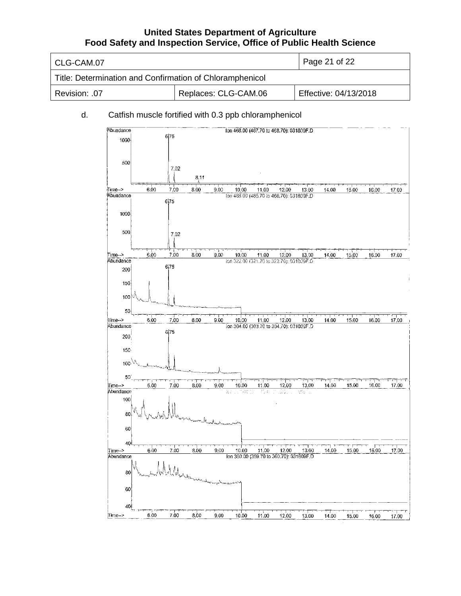| l CLG-CAM.07                                             | $\vert$ Page 21 of 22 |                       |
|----------------------------------------------------------|-----------------------|-----------------------|
| Title: Determination and Confirmation of Chloramphenicol |                       |                       |
| Revision: .07                                            | Replaces: CLG-CAM.06  | Effective: 04/13/2018 |

### d. Catfish muscle fortified with 0.3 ppb chloramphenicol